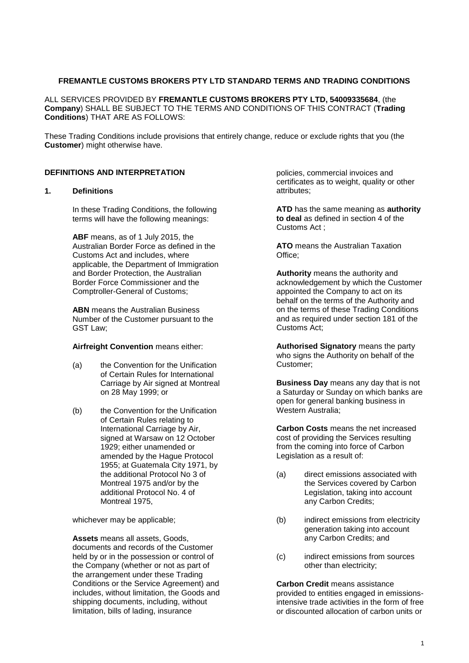#### **FREMANTLE CUSTOMS BROKERS PTY LTD STANDARD TERMS AND TRADING CONDITIONS**

ALL SERVICES PROVIDED BY **FREMANTLE CUSTOMS BROKERS PTY LTD, 54009335684**, (the **Company**) SHALL BE SUBJECT TO THE TERMS AND CONDITIONS OF THIS CONTRACT (**Trading Conditions**) THAT ARE AS FOLLOWS:

These Trading Conditions include provisions that entirely change, reduce or exclude rights that you (the **Customer**) might otherwise have.

#### **DEFINITIONS AND INTERPRETATION**

#### **1. Definitions**

In these Trading Conditions, the following terms will have the following meanings:

**ABF** means, as of 1 July 2015, the Australian Border Force as defined in the Customs Act and includes, where applicable, the Department of Immigration and Border Protection, the Australian Border Force Commissioner and the Comptroller-General of Customs;

**ABN** means the Australian Business Number of the Customer pursuant to the GST Law;

#### **Airfreight Convention** means either:

- (a) the Convention for the Unification of Certain Rules for International Carriage by Air signed at Montreal on 28 May 1999; or
- (b) the Convention for the Unification of Certain Rules relating to International Carriage by Air, signed at Warsaw on 12 October 1929; either unamended or amended by the Hague Protocol 1955; at Guatemala City 1971, by the additional Protocol No 3 of Montreal 1975 and/or by the additional Protocol No. 4 of Montreal 1975,

whichever may be applicable;

**Assets** means all assets, Goods, documents and records of the Customer held by or in the possession or control of the Company (whether or not as part of the arrangement under these Trading Conditions or the Service Agreement) and includes, without limitation, the Goods and shipping documents, including, without limitation, bills of lading, insurance

policies, commercial invoices and certificates as to weight, quality or other attributes;

**ATD** has the same meaning as **authority to deal** as defined in section 4 of the Customs Act ;

**ATO** means the Australian Taxation Office;

**Authority** means the authority and acknowledgement by which the Customer appointed the Company to act on its behalf on the terms of the Authority and on the terms of these Trading Conditions and as required under section 181 of the Customs Act;

**Authorised Signatory** means the party who signs the Authority on behalf of the Customer;

**Business Day** means any day that is not a Saturday or Sunday on which banks are open for general banking business in Western Australia;

**Carbon Costs** means the net increased cost of providing the Services resulting from the coming into force of Carbon Legislation as a result of:

- (a) direct emissions associated with the Services covered by Carbon Legislation, taking into account any Carbon Credits;
- (b) indirect emissions from electricity generation taking into account any Carbon Credits; and
- (c) indirect emissions from sources other than electricity;

**Carbon Credit** means assistance provided to entities engaged in emissionsintensive trade activities in the form of free or discounted allocation of carbon units or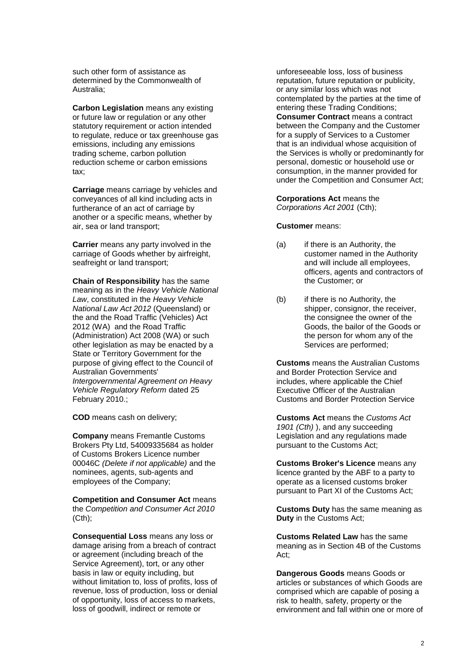such other form of assistance as determined by the Commonwealth of Australia;

**Carbon Legislation** means any existing or future law or regulation or any other statutory requirement or action intended to regulate, reduce or tax greenhouse gas emissions, including any emissions trading scheme, carbon pollution reduction scheme or carbon emissions tax;

**Carriage** means carriage by vehicles and conveyances of all kind including acts in furtherance of an act of carriage by another or a specific means, whether by air, sea or land transport;

**Carrier** means any party involved in the carriage of Goods whether by airfreight, seafreight or land transport;

**Chain of Responsibility** has the same meaning as in the *Heavy Vehicle National Law*, constituted in the *Heavy Vehicle National Law Act 2012* (Queensland) or the and the Road Traffic (Vehicles) Act 2012 (WA) and the Road Traffic (Administration) Act 2008 (WA) or such other legislation as may be enacted by a State or Territory Government for the purpose of giving effect to the Council of Australian Governments' *Intergovernmental Agreement on Heavy Vehicle Regulatory Reform* dated 25 February 2010.;

**COD** means cash on delivery;

**Company** means Fremantle Customs Brokers Pty Ltd, 54009335684 as holder of Customs Brokers Licence number 00046C *(Delete if not applicable)* and the nominees, agents, sub-agents and employees of the Company;

**Competition and Consumer Act** means the *Competition and Consumer Act 2010* (Cth);

**Consequential Loss** means any loss or damage arising from a breach of contract or agreement (including breach of the Service Agreement), tort, or any other basis in law or equity including, but without limitation to, loss of profits, loss of revenue, loss of production, loss or denial of opportunity, loss of access to markets, loss of goodwill, indirect or remote or

unforeseeable loss, loss of business reputation, future reputation or publicity, or any similar loss which was not contemplated by the parties at the time of entering these Trading Conditions; **Consumer Contract** means a contract between the Company and the Customer for a supply of Services to a Customer that is an individual whose acquisition of the Services is wholly or predominantly for personal, domestic or household use or consumption, in the manner provided for under the Competition and Consumer Act;

**Corporations Act** means the *Corporations Act 2001* (Cth);

#### **Customer** means:

- (a) if there is an Authority, the customer named in the Authority and will include all employees, officers, agents and contractors of the Customer; or
- (b) if there is no Authority, the shipper, consignor, the receiver, the consignee the owner of the Goods, the bailor of the Goods or the person for whom any of the Services are performed;

**Customs** means the Australian Customs and Border Protection Service and includes, where applicable the Chief Executive Officer of the Australian Customs and Border Protection Service

**Customs Act** means the *Customs Act 1901 (Cth)* ), and any succeeding Legislation and any regulations made pursuant to the Customs Act;

**Customs Broker's Licence** means any licence granted by the ABF to a party to operate as a licensed customs broker pursuant to Part XI of the Customs Act;

**Customs Duty** has the same meaning as **Duty** in the Customs Act;

**Customs Related Law** has the same meaning as in Section 4B of the Customs Act;

**Dangerous Goods** means Goods or articles or substances of which Goods are comprised which are capable of posing a risk to health, safety, property or the environment and fall within one or more of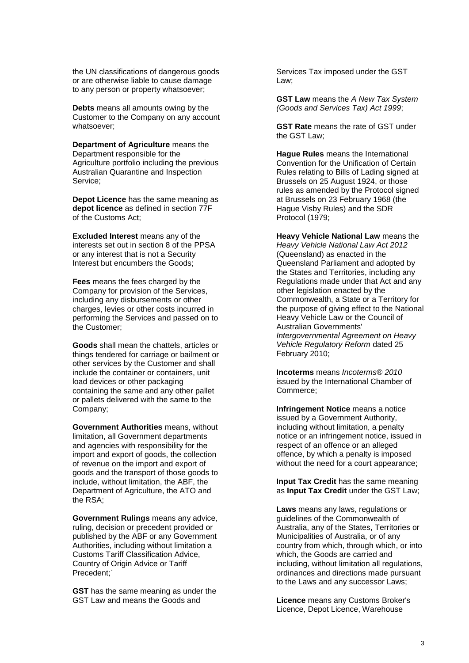the UN classifications of dangerous goods or are otherwise liable to cause damage to any person or property whatsoever;

**Debts** means all amounts owing by the Customer to the Company on any account whatsoever;

**Department of Agriculture** means the Department responsible for the Agriculture portfolio including the previous Australian Quarantine and Inspection Service;

**Depot Licence** has the same meaning as **depot licence** as defined in section 77F of the Customs Act;

**Excluded Interest** means any of the interests set out in section 8 of the PPSA or any interest that is not a Security Interest but encumbers the Goods;

**Fees** means the fees charged by the Company for provision of the Services, including any disbursements or other charges, levies or other costs incurred in performing the Services and passed on to the Customer;

**Goods** shall mean the chattels, articles or things tendered for carriage or bailment or other services by the Customer and shall include the container or containers, unit load devices or other packaging containing the same and any other pallet or pallets delivered with the same to the Company;

**Government Authorities** means, without limitation, all Government departments and agencies with responsibility for the import and export of goods, the collection of revenue on the import and export of goods and the transport of those goods to include, without limitation, the ABF, the Department of Agriculture, the ATO and the RSA;

**Government Rulings** means any advice, ruling, decision or precedent provided or published by the ABF or any Government Authorities, including without limitation a Customs Tariff Classification Advice, Country of Origin Advice or Tariff Precedent;`

**GST** has the same meaning as under the GST Law and means the Goods and

Services Tax imposed under the GST Law;

**GST Law** means the *A New Tax System (Goods and Services Tax) Act 1999*;

**GST Rate** means the rate of GST under the GST Law;

**Hague Rules** means the International Convention for the Unification of Certain Rules relating to Bills of Lading signed at Brussels on 25 August 1924, or those rules as amended by the Protocol signed at Brussels on 23 February 1968 (the Hague Visby Rules) and the SDR Protocol (1979;

**Heavy Vehicle National Law** means the *Heavy Vehicle National Law Act 2012* (Queensland) as enacted in the Queensland Parliament and adopted by the States and Territories, including any Regulations made under that Act and any other legislation enacted by the Commonwealth, a State or a Territory for the purpose of giving effect to the National Heavy Vehicle Law or the Council of Australian Governments' *Intergovernmental Agreement on Heavy Vehicle Regulatory Reform* dated 25 February 2010;

**Incoterms** means *Incoterms® 2010* issued by the International Chamber of Commerce;

**Infringement Notice** means a notice issued by a Government Authority, including without limitation, a penalty notice or an infringement notice, issued in respect of an offence or an alleged offence, by which a penalty is imposed without the need for a court appearance;

**Input Tax Credit** has the same meaning as **Input Tax Credit** under the GST Law;

**Laws** means any laws, regulations or guidelines of the Commonwealth of Australia, any of the States, Territories or Municipalities of Australia, or of any country from which, through which, or into which, the Goods are carried and including, without limitation all regulations, ordinances and directions made pursuant to the Laws and any successor Laws;

**Licence** means any Customs Broker's Licence, Depot Licence, Warehouse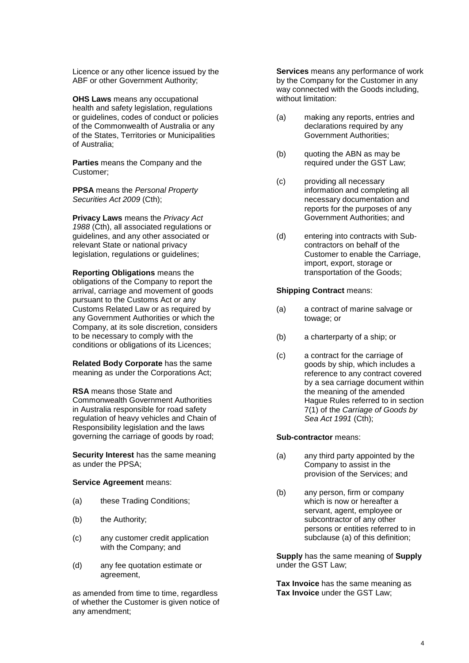Licence or any other licence issued by the ABF or other Government Authority;

**OHS Laws** means any occupational health and safety legislation, regulations or guidelines, codes of conduct or policies of the Commonwealth of Australia or any of the States, Territories or Municipalities of Australia;

**Parties** means the Company and the Customer;

**PPSA** means the *Personal Property Securities Act 2009* (Cth);

**Privacy Laws** means the *Privacy Act 1988* (Cth), all associated regulations or guidelines, and any other associated or relevant State or national privacy legislation, regulations or guidelines;

**Reporting Obligations** means the obligations of the Company to report the arrival, carriage and movement of goods pursuant to the Customs Act or any Customs Related Law or as required by any Government Authorities or which the Company, at its sole discretion, considers to be necessary to comply with the conditions or obligations of its Licences;

**Related Body Corporate** has the same meaning as under the Corporations Act;

**RSA** means those State and Commonwealth Government Authorities in Australia responsible for road safety regulation of heavy vehicles and Chain of Responsibility legislation and the laws governing the carriage of goods by road;

**Security Interest** has the same meaning as under the PPSA;

#### **Service Agreement** means:

- (a) these Trading Conditions;
- (b) the Authority;
- (c) any customer credit application with the Company; and
- (d) any fee quotation estimate or agreement,

as amended from time to time, regardless of whether the Customer is given notice of any amendment;

**Services** means any performance of work by the Company for the Customer in any way connected with the Goods including, without limitation:

- (a) making any reports, entries and declarations required by any Government Authorities;
- (b) quoting the ABN as may be required under the GST Law;
- (c) providing all necessary information and completing all necessary documentation and reports for the purposes of any Government Authorities; and
- (d) entering into contracts with Subcontractors on behalf of the Customer to enable the Carriage, import, export, storage or transportation of the Goods;

#### **Shipping Contract** means:

- (a) a contract of marine salvage or towage; or
- (b) a charterparty of a ship; or
- (c) a contract for the carriage of goods by ship, which includes a reference to any contract covered by a sea carriage document within the meaning of the amended Hague Rules referred to in section 7(1) of the *Carriage of Goods by Sea Act 1991* (Cth);

#### **Sub-contractor** means:

- (a) any third party appointed by the Company to assist in the provision of the Services; and
- (b) any person, firm or company which is now or hereafter a servant, agent, employee or subcontractor of any other persons or entities referred to in subclause (a) of this definition;

**Supply** has the same meaning of **Supply** under the GST Law;

**Tax Invoice** has the same meaning as **Tax Invoice** under the GST Law;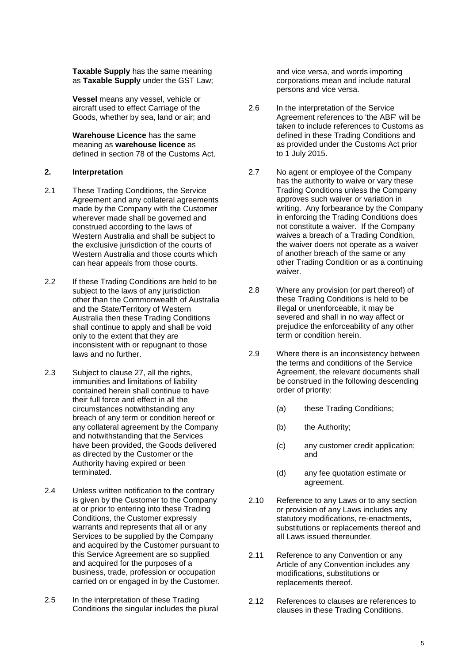**Taxable Supply** has the same meaning as **Taxable Supply** under the GST Law;

**Vessel** means any vessel, vehicle or aircraft used to effect Carriage of the Goods, whether by sea, land or air; and

**Warehouse Licence** has the same meaning as **warehouse licence** as defined in section 78 of the Customs Act.

#### **2. Interpretation**

- 2.1 These Trading Conditions, the Service Agreement and any collateral agreements made by the Company with the Customer wherever made shall be governed and construed according to the laws of Western Australia and shall be subject to the exclusive jurisdiction of the courts of Western Australia and those courts which can hear appeals from those courts.
- 2.2 If these Trading Conditions are held to be subject to the laws of any jurisdiction other than the Commonwealth of Australia and the State/Territory of Western Australia then these Trading Conditions shall continue to apply and shall be void only to the extent that they are inconsistent with or repugnant to those laws and no further.
- 2.3 Subject to clause [27,](#page-19-0) all the rights, immunities and limitations of liability contained herein shall continue to have their full force and effect in all the circumstances notwithstanding any breach of any term or condition hereof or any collateral agreement by the Company and notwithstanding that the Services have been provided, the Goods delivered as directed by the Customer or the Authority having expired or been terminated.
- 2.4 Unless written notification to the contrary is given by the Customer to the Company at or prior to entering into these Trading Conditions, the Customer expressly warrants and represents that all or any Services to be supplied by the Company and acquired by the Customer pursuant to this Service Agreement are so supplied and acquired for the purposes of a business, trade, profession or occupation carried on or engaged in by the Customer.
- 2.5 In the interpretation of these Trading Conditions the singular includes the plural

and vice versa, and words importing corporations mean and include natural persons and vice versa.

- 2.6 In the interpretation of the Service Agreement references to 'the ABF' will be taken to include references to Customs as defined in these Trading Conditions and as provided under the Customs Act prior to 1 July 2015.
- 2.7 No agent or employee of the Company has the authority to waive or vary these Trading Conditions unless the Company approves such waiver or variation in writing. Any forbearance by the Company in enforcing the Trading Conditions does not constitute a waiver. If the Company waives a breach of a Trading Condition, the waiver doers not operate as a waiver of another breach of the same or any other Trading Condition or as a continuing waiver.
- 2.8 Where any provision (or part thereof) of these Trading Conditions is held to be illegal or unenforceable, it may be severed and shall in no way affect or prejudice the enforceability of any other term or condition herein.
- 2.9 Where there is an inconsistency between the terms and conditions of the Service Agreement, the relevant documents shall be construed in the following descending order of priority:
	- (a) these Trading Conditions;
	- (b) the Authority;
	- (c) any customer credit application; and
	- (d) any fee quotation estimate or agreement.
- 2.10 Reference to any Laws or to any section or provision of any Laws includes any statutory modifications, re-enactments, substitutions or replacements thereof and all Laws issued thereunder.
- 2.11 Reference to any Convention or any Article of any Convention includes any modifications, substitutions or replacements thereof.
- 2.12 References to clauses are references to clauses in these Trading Conditions.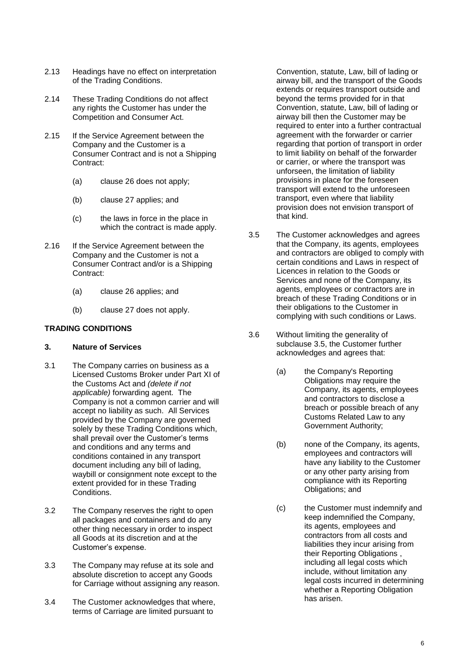- 2.13 Headings have no effect on interpretation of the Trading Conditions.
- 2.14 These Trading Conditions do not affect any rights the Customer has under the Competition and Consumer Act.
- 2.15 If the Service Agreement between the Company and the Customer is a Consumer Contract and is not a Shipping Contract:
	- (a) clause [26](#page-18-0) does not apply;
	- (b) clause [27](#page-19-0) applies; and
	- (c) the laws in force in the place in which the contract is made apply.
- 2.16 If the Service Agreement between the Company and the Customer is not a Consumer Contract and/or is a Shipping Contract:
	- (a) clause [26](#page-18-0) applies; and
	- (b) clause [27](#page-19-0) does not apply.

## **TRADING CONDITIONS**

## **3. Nature of Services**

- 3.1 The Company carries on business as a Licensed Customs Broker under Part XI of the Customs Act and *(delete if not applicable)* forwarding agent. The Company is not a common carrier and will accept no liability as such. All Services provided by the Company are governed solely by these Trading Conditions which, shall prevail over the Customer's terms and conditions and any terms and conditions contained in any transport document including any bill of lading, waybill or consignment note except to the extent provided for in these Trading Conditions.
- 3.2 The Company reserves the right to open all packages and containers and do any other thing necessary in order to inspect all Goods at its discretion and at the Customer's expense.
- 3.3 The Company may refuse at its sole and absolute discretion to accept any Goods for Carriage without assigning any reason.
- 3.4 The Customer acknowledges that where, terms of Carriage are limited pursuant to

Convention, statute, Law, bill of lading or airway bill, and the transport of the Goods extends or requires transport outside and beyond the terms provided for in that Convention, statute, Law, bill of lading or airway bill then the Customer may be required to enter into a further contractual agreement with the forwarder or carrier regarding that portion of transport in order to limit liability on behalf of the forwarder or carrier, or where the transport was unforseen, the limitation of liability provisions in place for the foreseen transport will extend to the unforeseen transport, even where that liability provision does not envision transport of that kind.

- <span id="page-5-0"></span>3.5 The Customer acknowledges and agrees that the Company, its agents, employees and contractors are obliged to comply with certain conditions and Laws in respect of Licences in relation to the Goods or Services and none of the Company, its agents, employees or contractors are in breach of these Trading Conditions or in their obligations to the Customer in complying with such conditions or Laws.
- 3.6 Without limiting the generality of subclause [3.5,](#page-5-0) the Customer further acknowledges and agrees that:
	- (a) the Company's Reporting Obligations may require the Company, its agents, employees and contractors to disclose a breach or possible breach of any Customs Related Law to any Government Authority;
	- (b) none of the Company, its agents, employees and contractors will have any liability to the Customer or any other party arising from compliance with its Reporting Obligations; and
	- (c) the Customer must indemnify and keep indemnified the Company, its agents, employees and contractors from all costs and liabilities they incur arising from their Reporting Obligations , including all legal costs which include, without limitation any legal costs incurred in determining whether a Reporting Obligation has arisen.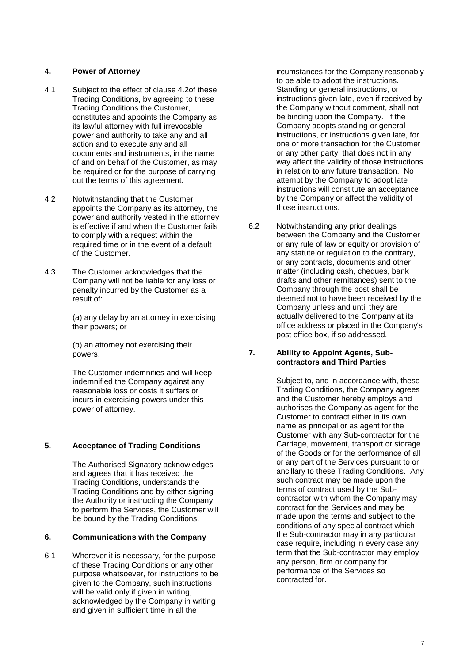## **4. Power of Attorney**

- 4.1 Subject to the effect of clause [4.2o](#page-6-0)f these Trading Conditions, by agreeing to these Trading Conditions the Customer, constitutes and appoints the Company as its lawful attorney with full irrevocable power and authority to take any and all action and to execute any and all documents and instruments, in the name of and on behalf of the Customer, as may be required or for the purpose of carrying out the terms of this agreement.
- <span id="page-6-0"></span>4.2 Notwithstanding that the Customer appoints the Company as its attorney, the power and authority vested in the attorney is effective if and when the Customer fails to comply with a request within the required time or in the event of a default of the Customer.
- 4.3 The Customer acknowledges that the Company will not be liable for any loss or penalty incurred by the Customer as a result of:

(a) any delay by an attorney in exercising their powers; or

(b) an attorney not exercising their powers,

The Customer indemnifies and will keep indemnified the Company against any reasonable loss or costs it suffers or incurs in exercising powers under this power of attorney.

# **5. Acceptance of Trading Conditions**

The Authorised Signatory acknowledges and agrees that it has received the Trading Conditions, understands the Trading Conditions and by either signing the Authority or instructing the Company to perform the Services, the Customer will be bound by the Trading Conditions.

## **6. Communications with the Company**

6.1 Wherever it is necessary, for the purpose of these Trading Conditions or any other purpose whatsoever, for instructions to be given to the Company, such instructions will be valid only if given in writing, acknowledged by the Company in writing and given in sufficient time in all the

ircumstances for the Company reasonably to be able to adopt the instructions. Standing or general instructions, or instructions given late, even if received by the Company without comment, shall not be binding upon the Company. If the Company adopts standing or general instructions, or instructions given late, for one or more transaction for the Customer or any other party, that does not in any way affect the validity of those instructions in relation to any future transaction. No attempt by the Company to adopt late instructions will constitute an acceptance by the Company or affect the validity of those instructions.

6.2 Notwithstanding any prior dealings between the Company and the Customer or any rule of law or equity or provision of any statute or regulation to the contrary, or any contracts, documents and other matter (including cash, cheques, bank drafts and other remittances) sent to the Company through the post shall be deemed not to have been received by the Company unless and until they are actually delivered to the Company at its office address or placed in the Company's post office box, if so addressed.

## <span id="page-6-1"></span>**7. Ability to Appoint Agents, Subcontractors and Third Parties**

Subject to, and in accordance with, these Trading Conditions, the Company agrees and the Customer hereby employs and authorises the Company as agent for the Customer to contract either in its own name as principal or as agent for the Customer with any Sub-contractor for the Carriage, movement, transport or storage of the Goods or for the performance of all or any part of the Services pursuant to or ancillary to these Trading Conditions. Any such contract may be made upon the terms of contract used by the Subcontractor with whom the Company may contract for the Services and may be made upon the terms and subject to the conditions of any special contract which the Sub-contractor may in any particular case require, including in every case any term that the Sub-contractor may employ any person, firm or company for performance of the Services so contracted for.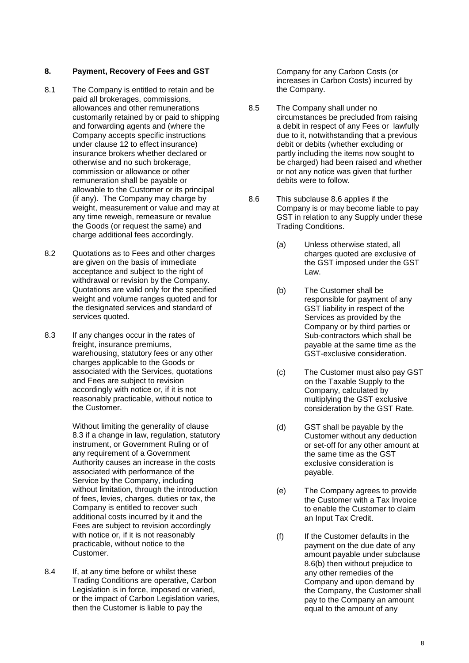## <span id="page-7-3"></span>**8. Payment, Recovery of Fees and GST**

- 8.1 The Company is entitled to retain and be paid all brokerages, commissions, allowances and other remunerations customarily retained by or paid to shipping and forwarding agents and (where the Company accepts specific instructions under clause [12](#page-12-0) to effect insurance) insurance brokers whether declared or otherwise and no such brokerage, commission or allowance or other remuneration shall be payable or allowable to the Customer or its principal (if any). The Company may charge by weight, measurement or value and may at any time reweigh, remeasure or revalue the Goods (or request the same) and charge additional fees accordingly.
- 8.2 Quotations as to Fees and other charges are given on the basis of immediate acceptance and subject to the right of withdrawal or revision by the Company. Quotations are valid only for the specified weight and volume ranges quoted and for the designated services and standard of services quoted.
- <span id="page-7-0"></span>8.3 If any changes occur in the rates of freight, insurance premiums, warehousing, statutory fees or any other charges applicable to the Goods or associated with the Services, quotations and Fees are subject to revision accordingly with notice or, if it is not reasonably practicable, without notice to the Customer.

Without limiting the generality of clause [8.3](#page-7-0) if a change in law, regulation, statutory instrument, or Government Ruling or of any requirement of a Government Authority causes an increase in the costs associated with performance of the Service by the Company, including without limitation, through the introduction of fees, levies, charges, duties or tax, the Company is entitled to recover such additional costs incurred by it and the Fees are subject to revision accordingly with notice or, if it is not reasonably practicable, without notice to the Customer.

8.4 If, at any time before or whilst these Trading Conditions are operative, Carbon Legislation is in force, imposed or varied, or the impact of Carbon Legislation varies, then the Customer is liable to pay the

Company for any Carbon Costs (or increases in Carbon Costs) incurred by the Company.

- 8.5 The Company shall under no circumstances be precluded from raising a debit in respect of any Fees or lawfully due to it, notwithstanding that a previous debit or debits (whether excluding or partly including the items now sought to be charged) had been raised and whether or not any notice was given that further debits were to follow.
- <span id="page-7-2"></span><span id="page-7-1"></span>8.6 This subclause [8.6](#page-7-1) applies if the Company is or may become liable to pay GST in relation to any Supply under these Trading Conditions.
	- (a) Unless otherwise stated, all charges quoted are exclusive of the GST imposed under the GST Law.
	- (b) The Customer shall be responsible for payment of any GST liability in respect of the Services as provided by the Company or by third parties or Sub-contractors which shall be payable at the same time as the GST-exclusive consideration.
	- (c) The Customer must also pay GST on the Taxable Supply to the Company, calculated by multiplying the GST exclusive consideration by the GST Rate.
	- (d) GST shall be payable by the Customer without any deduction or set-off for any other amount at the same time as the GST exclusive consideration is payable.
	- (e) The Company agrees to provide the Customer with a Tax Invoice to enable the Customer to claim an Input Tax Credit.
	- (f) If the Customer defaults in the payment on the due date of any amount payable under subclause [8.6\(b\)](#page-7-2) then without prejudice to any other remedies of the Company and upon demand by the Company, the Customer shall pay to the Company an amount equal to the amount of any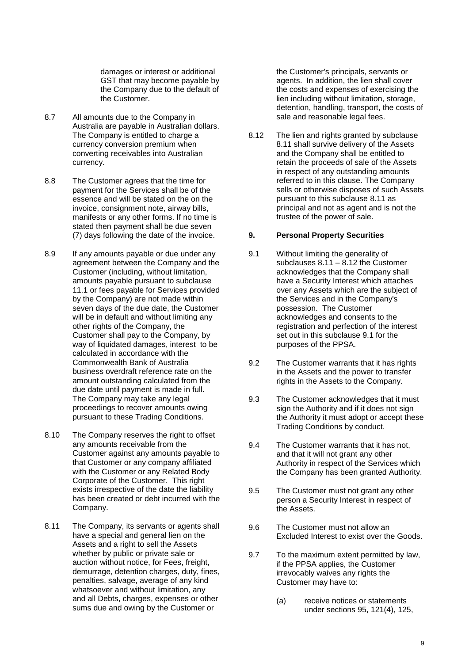damages or interest or additional GST that may become payable by the Company due to the default of the Customer.

- 8.7 All amounts due to the Company in Australia are payable in Australian dollars. The Company is entitled to charge a currency conversion premium when converting receivables into Australian currency.
- 8.8 The Customer agrees that the time for payment for the Services shall be of the essence and will be stated on the on the invoice, consignment note, airway bills, manifests or any other forms. If no time is stated then payment shall be due seven (7) days following the date of the invoice.
- 8.9 If any amounts payable or due under any agreement between the Company and the Customer (including, without limitation, amounts payable pursuant to subclause [11.1](#page-10-0) or fees payable for Services provided by the Company) are not made within seven days of the due date, the Customer will be in default and without limiting any other rights of the Company, the Customer shall pay to the Company, by way of liquidated damages, interest to be calculated in accordance with the Commonwealth Bank of Australia business overdraft reference rate on the amount outstanding calculated from the due date until payment is made in full. The Company may take any legal proceedings to recover amounts owing pursuant to these Trading Conditions.
- 8.10 The Company reserves the right to offset any amounts receivable from the Customer against any amounts payable to that Customer or any company affiliated with the Customer or any Related Body Corporate of the Customer. This right exists irrespective of the date the liability has been created or debt incurred with the Company.
- <span id="page-8-0"></span>8.11 The Company, its servants or agents shall have a special and general lien on the Assets and a right to sell the Assets whether by public or private sale or auction without notice, for Fees, freight, demurrage, detention charges, duty, fines, penalties, salvage, average of any kind whatsoever and without limitation, any and all Debts, charges, expenses or other sums due and owing by the Customer or

the Customer's principals, servants or agents. In addition, the lien shall cover the costs and expenses of exercising the lien including without limitation, storage, detention, handling, transport, the costs of sale and reasonable legal fees.

<span id="page-8-1"></span>8.12 The lien and rights granted by subclause [8.11](#page-8-0) shall survive delivery of the Assets and the Company shall be entitled to retain the proceeds of sale of the Assets in respect of any outstanding amounts referred to in this clause. The Company sells or otherwise disposes of such Assets pursuant to this subclause [8.11](#page-8-0) as principal and not as agent and is not the trustee of the power of sale.

#### **9. Personal Property Securities**

- <span id="page-8-2"></span>9.1 Without limiting the generality of subclauses [8.11](#page-8-0) – [8.12](#page-8-1) the Customer acknowledges that the Company shall have a Security Interest which attaches over any Assets which are the subject of the Services and in the Company's possession. The Customer acknowledges and consents to the registration and perfection of the interest set out in this subclause [9.1](#page-8-2) for the purposes of the PPSA.
- 9.2 The Customer warrants that it has rights in the Assets and the power to transfer rights in the Assets to the Company.
- 9.3 The Customer acknowledges that it must sign the Authority and if it does not sign the Authority it must adopt or accept these Trading Conditions by conduct.
- 9.4 The Customer warrants that it has not, and that it will not grant any other Authority in respect of the Services which the Company has been granted Authority.
- 9.5 The Customer must not grant any other person a Security Interest in respect of the Assets.
- 9.6 The Customer must not allow an Excluded Interest to exist over the Goods.
- 9.7 To the maximum extent permitted by law, if the PPSA applies, the Customer irrevocably waives any rights the Customer may have to:
	- (a) receive notices or statements under sections 95, 121(4), 125,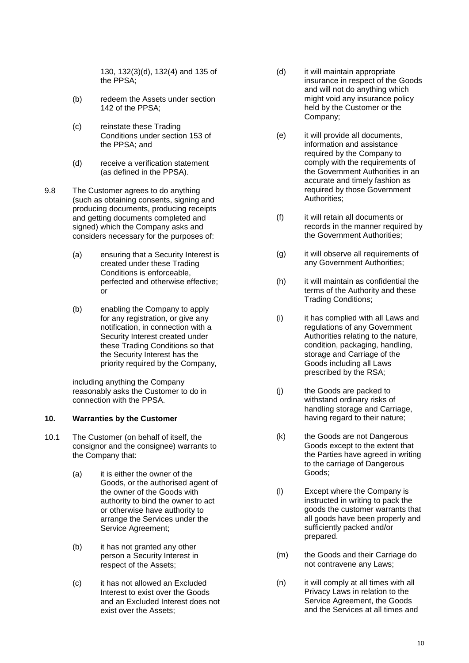130, 132(3)(d), 132(4) and 135 of the PPSA;

- (b) redeem the Assets under section 142 of the PPSA;
- (c) reinstate these Trading Conditions under section 153 of the PPSA; and
- (d) receive a verification statement (as defined in the PPSA) .
- 9.8 The Customer agrees to do anything (such as obtaining consents, signing and producing documents, producing receipts and getting documents completed and signed) which the Company asks and considers necessary for the purposes of:
	- (a) ensuring that a Security Interest is created under these Trading Conditions is enforceable, perfected and otherwise effective; or
	- (b) enabling the Company to apply for any registration, or give any notification, in connection with a Security Interest created under these Trading Conditions so that the Security Interest has the priority required by the Company,

including anything the Company reasonably asks the Customer to do in connection with the PPSA.

#### **10. Warranties by the Customer**

- <span id="page-9-0"></span>10.1 The Customer (on behalf of itself, the consignor and the consignee) warrants to the Company that:
	- (a) it is either the owner of the Goods, or the authorised agent of the owner of the Goods with authority to bind the owner to act or otherwise have authority to arrange the Services under the Service Agreement;
	- (b) it has not granted any other person a Security Interest in respect of the Assets;
	- (c) it has not allowed an Excluded Interest to exist over the Goods and an Excluded Interest does not exist over the Assets;
- (d) it will maintain appropriate insurance in respect of the Goods and will not do anything which might void any insurance policy held by the Customer or the Company;
- (e) it will provide all documents, information and assistance required by the Company to comply with the requirements of the Government Authorities in an accurate and timely fashion as required by those Government Authorities;
- (f) it will retain all documents or records in the manner required by the Government Authorities;
- (g) it will observe all requirements of any Government Authorities;
- (h) it will maintain as confidential the terms of the Authority and these Trading Conditions;
- (i) it has complied with all Laws and regulations of any Government Authorities relating to the nature, condition, packaging, handling, storage and Carriage of the Goods including all Laws prescribed by the RSA;
- (j) the Goods are packed to withstand ordinary risks of handling storage and Carriage, having regard to their nature;
- (k) the Goods are not Dangerous Goods except to the extent that the Parties have agreed in writing to the carriage of Dangerous Goods ;
- (l) Except where the Company is instructed in writing to pack the goods the customer warrants that all goods have been properly and sufficiently packed and/or prepared.
- (m) the Goods and their Carriage do not contravene any Laws;
- (n) it will comply at all times with all Privacy Laws in relation to the Service Agreement, the Goods and the Services at all times and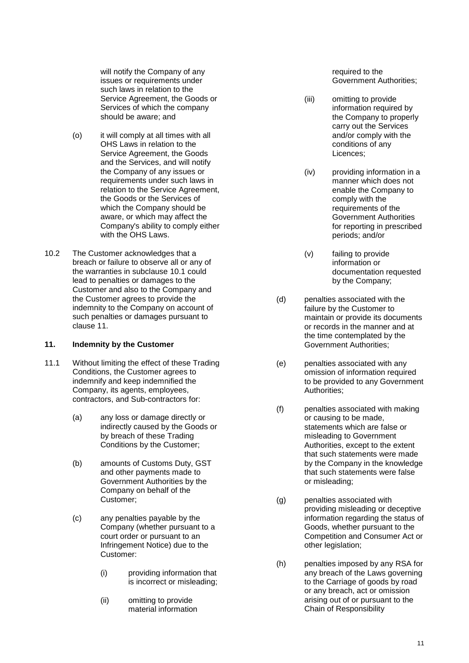will notify the Company of any issues or requirements under such laws in relation to the Service Agreement, the Goods or Services of which the company should be aware; and

- (o) it will comply at all times with all OHS Laws in relation to the Service Agreement, the Goods and the Services, and will notify the Company of any issues or requirements under such laws in relation to the Service Agreement, the Goods or the Services of which the Company should be aware, or which may affect the Company's ability to comply either with the OHS Laws.
- 10.2 The Customer acknowledges that a breach or failure to observe all or any of the warranties in subclause [10.1](#page-9-0) could lead to penalties or damages to the Customer and also to the Company and the Customer agrees to provide the indemnity to the Company on account of such penalties or damages pursuant to clause [11.](#page-10-1)

## <span id="page-10-1"></span>**11. Indemnity by the Customer**

- <span id="page-10-0"></span>11.1 Without limiting the effect of these Trading Conditions, the Customer agrees to indemnify and keep indemnified the Company, its agents, employees, contractors, and Sub-contractors for:
	- (a) any loss or damage directly or indirectly caused by the Goods or by breach of these Trading Conditions by the Customer;
	- (b) amounts of Customs Duty, GST and other payments made to Government Authorities by the Company on behalf of the Customer;
	- (c) any penalties payable by the Company (whether pursuant to a court order or pursuant to an Infringement Notice) due to the Customer:
		- (i) providing information that is incorrect or misleading;
		- (ii) omitting to provide material information

required to the Government Authorities;

- (iii) omitting to provide information required by the Company to properly carry out the Services and/or comply with the conditions of any Licences;
- (iv) providing information in a manner which does not enable the Company to comply with the requirements of the Government Authorities for reporting in prescribed periods; and/or
- (v) failing to provide information or documentation requested by the Company;
- (d) penalties associated with the failure by the Customer to maintain or provide its documents or records in the manner and at the time contemplated by the Government Authorities;
- (e) penalties associated with any omission of information required to be provided to any Government Authorities;
- (f) penalties associated with making or causing to be made, statements which are false or misleading to Government Authorities, except to the extent that such statements were made by the Company in the knowledge that such statements were false or misleading;
- (g) penalties associated with providing misleading or deceptive information regarding the status of Goods, whether pursuant to the Competition and Consumer Act or other legislation;
- (h) penalties imposed by any RSA for any breach of the Laws governing to the Carriage of goods by road or any breach, act or omission arising out of or pursuant to the Chain of Responsibility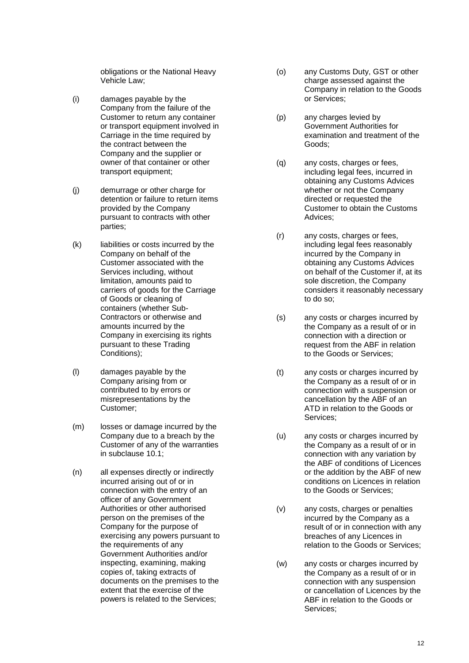obligations or the National Heavy Vehicle Law ;

- (i) damages payable by the Company from the failure of the Customer to return any container or transport equipment involved in Carriage in the time required by the contract between the Company and the supplier or owner of that container or other transport equipment;
- (j) demurrage or other charge for detention or failure to return items provided by the Company pursuant to contracts with other parties;
- (k) liabilities or costs incurred by the Company on behalf of the Customer associated with the Services including, without limitation, amounts paid to carriers of goods for the Carriage of Goods or cleaning of containers (whether Sub - Contractors or otherwise and amounts incurred by the Company in exercising its rights pursuant to these Trading Conditions);
- (l) damages payable by the Company arising from or contributed to by errors or misrepresentations by the Customer;
- (m) losses or damage incurred by the Company due to a breach by the Customer of any of the warranties in subclause [10.1;](#page-9-0)
- (n) all expenses directly or indirectly incurred arising out of or in connection with the entry of an officer of any Government Authorities or other authorised person on the premises of the Company for the purpose of exercising any powers pursuant to the requirements of any Government Authorities and/or inspecting, examining, making copies of, taking extracts of documents on the premises to the extent that the exercise of the powers is related to the Services;
- (o) any Customs Duty, GST or other charge assessed against the Company in relation to the Goods or Services;
- (p) any charges levied by Government Authorities for examination and treatment of the Goods;
- (q) any costs, charges or fees, including legal fees, incurred in obtaining any Customs Advices whether or not the Company directed or requested the Customer to obtain the Customs Advices ;
- (r) any costs, charges or fees, including legal fees reasonably incurred by the Company in obtaining any Customs Advices on behalf of the Customer if, at its sole discretion, the Company considers it reasonably necessary to do so;
- (s) any costs or charges incurred by the Company as a result of or in connection with a direction or request from the ABF in relation to the Goods or Services;
- (t) any costs or charges incurred by the Company as a result of or in connection with a suspension or cancellation by the ABF of an ATD in relation to the Goods or Services;
- (u) any costs or charges incurred by the Company as a result of or in connection with any variation by the ABF of conditions of Licences or the addition by the ABF of new conditions on Licences in relation to the Goods or Services;
- (v) any costs, charges or penalties incurred by the Company as a result of or in connection with any breaches of any Licences in relation to the Goods or Services;
- (w) any costs or charges incurred by the Company as a result of or in connection with any suspension or cancellation of Licences by the ABF in relation to the Goods or Services;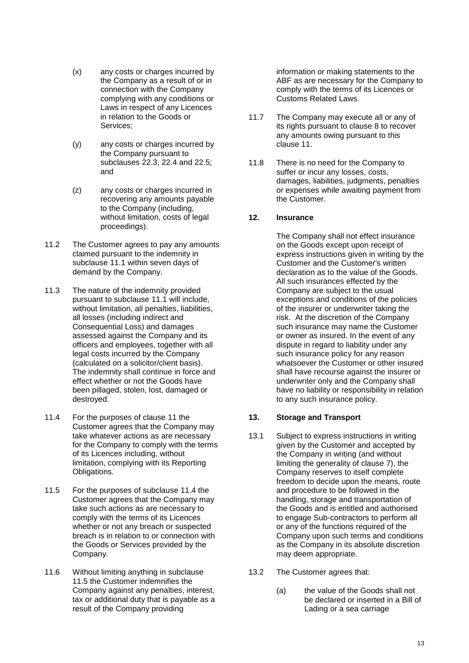- (x) any costs or charges incurred by the Company as a result of or in connection with the Company complying with any conditions or Laws in respect of any Licences in relation to the Goods or Services;
- (y) any costs or charges incurred by the Company pursuant to subclauses [22.3,](#page-17-0) [22.4](#page-17-1) and [22.5;](#page-17-2) and
- (z) any costs or charges incurred in recovering any amounts payable to the Company (including, without limitation, costs of legal proceedings).
- 11.2 The Customer agrees to pay any amounts claimed pursuant to the indemnity in subclause [11.1](#page-10-0) within seven days of demand by the Company.
- <span id="page-12-4"></span>11.3 The nature of the indemnity provided pursuant to subclause [11.1](#page-10-0) will include, without limitation, all penalties, liabilities, all losses (including indirect and Consequential Loss) and damages assessed against the Company and its officers and employees, together with all legal costs incurred by the Company (calculated on a solicitor/client basis). The indemnity shall continue in force and effect whether or not the Goods have been pillaged, stolen, lost, damaged or destroyed.
- <span id="page-12-1"></span>11.4 For the purposes of clause [11](#page-10-1) the Customer agrees that the Company may take whatever actions as are necessary for the Company to comply with the terms of its Licences including, without limitation, complying with its Reporting Obligations.
- <span id="page-12-2"></span>11.5 For the purposes of subclause [11.4](#page-12-1) the Customer agrees that the Company may take such actions as are necessary to comply with the terms of its Licences whether or not any breach or suspected breach is in relation to or connection with the Goods or Services provided by the Company.
- 11.6 Without limiting anything in subclause [11.5](#page-12-2) the Customer indemnifies the Company against any penalties, interest, tax or additional duty that is payable as a result of the Company providing

information or making statements to the ABF as are necessary for the Company to comply with the terms of its Licences or Customs Related Laws.

- 11.7 The Company may execute all or any of its rights pursuant to clause [8](#page-7-3) to recover any amounts owing pursuant to this clause [11.](#page-10-1)
- 11.8 There is no need for the Company to suffer or incur any losses, costs, damages, liabilities, judgments, penalties or expenses while awaiting payment from the Customer.

# <span id="page-12-0"></span>**12. Insurance**

The Company shall not effect insurance on the Goods except upon receipt of express instructions given in writing by the Customer and the Customer's written declaration as to the value of the Goods. All such insurances effected by the Company are subject to the usual exceptions and conditions of the policies of the insurer or underwriter taking the risk. At the discretion of the Company such insurance may name the Customer or owner as insured. In the event of any dispute in regard to liability under any such insurance policy for any reason whatsoever the Customer or other insured shall have recourse against the insurer or underwriter only and the Company shall have no liability or responsibility in relation to any such insurance policy.

## <span id="page-12-3"></span>**13. Storage and Transport**

- 13.1 Subject to express instructions in writing given by the Customer and accepted by the Company in writing (and without limiting the generality of clause [7\)](#page-6-1), the Company reserves to itself complete freedom to decide upon the means, route and procedure to be followed in the handling, storage and transportation of the Goods and is entitled and authorised to engage Sub-contractors to perform all or any of the functions required of the Company upon such terms and conditions as the Company in its absolute discretion may deem appropriate.
- 13.2 The Customer agrees that:
	- (a) the value of the Goods shall not be declared or inserted in a Bill of Lading or a sea carriage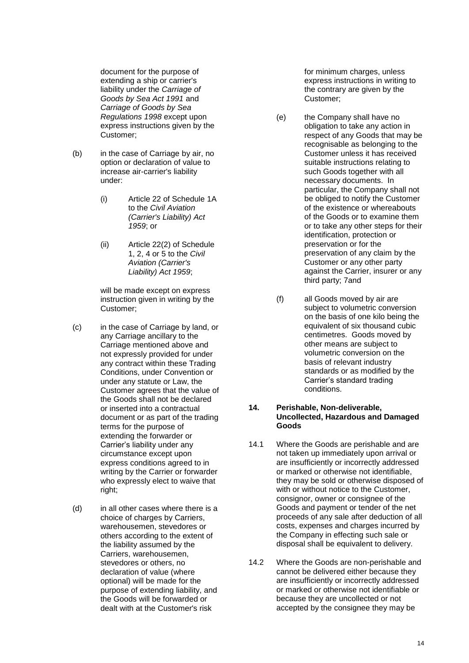document for the purpose of extending a ship or carrier's liability under the *Carriage of Goods by Sea Act 1991* and *Carriage of Goods by Sea Regulations 1998* except upon express instructions given by the Customer;

- (b) in the case of Carriage by air, no option or declaration of value to increase air-carrier's liability under:
	- (i) Article 22 of Schedule 1A to the *Civil Aviation (Carrier's Liability) Act 1959*; or
	- (ii) Article 22(2) of Schedule 1, 2, 4 or 5 to the *Civil Aviation (Carrier's Liability) Act 1959*;

will be made except on express instruction given in writing by the Customer;

- (c) in the case of Carriage by land, or any Carriage ancillary to the Carriage mentioned above and not expressly provided for under any contract within these Trading Conditions, under Convention or under any statute or Law, the Customer agrees that the value of the Goods shall not be declared or inserted into a contractual document or as part of the trading terms for the purpose of extending the forwarder or Carrier's liability under any circumstance except upon express conditions agreed to in writing by the Carrier or forwarder who expressly elect to waive that right;
- (d) in all other cases where there is a choice of charges by Carriers, warehousemen, stevedores or others according to the extent of the liability assumed by the Carriers, warehousemen, stevedores or others, no declaration of value (where optional) will be made for the purpose of extending liability, and the Goods will be forwarded or dealt with at the Customer's risk

for minimum charges, unless express instructions in writing to the contrary are given by the Customer;

- (e) the Company shall have no obligation to take any action in respect of any Goods that may be recognisable as belonging to the Customer unless it has received suitable instructions relating to such Goods together with all necessary documents. In particular, the Company shall not be obliged to notify the Customer of the existence or whereabouts of the Goods or to examine them or to take any other steps for their identification, protection or preservation or for the preservation of any claim by the Customer or any other party against the Carrier, insurer or any third party; 7and
- (f) all Goods moved by air are subject to volumetric conversion on the basis of one kilo being the equivalent of six thousand cubic centimetres. Goods moved by other means are subject to volumetric conversion on the basis of relevant industry standards or as modified by the Carrier's standard trading conditions.

#### **14. Perishable, Non-deliverable, Uncollected, Hazardous and Damaged Goods**

- <span id="page-13-0"></span>14.1 Where the Goods are perishable and are not taken up immediately upon arrival or are insufficiently or incorrectly addressed or marked or otherwise not identifiable, they may be sold or otherwise disposed of with or without notice to the Customer, consignor, owner or consignee of the Goods and payment or tender of the net proceeds of any sale after deduction of all costs, expenses and charges incurred by the Company in effecting such sale or disposal shall be equivalent to delivery.
- <span id="page-13-1"></span>14.2 Where the Goods are non-perishable and cannot be delivered either because they are insufficiently or incorrectly addressed or marked or otherwise not identifiable or because they are uncollected or not accepted by the consignee they may be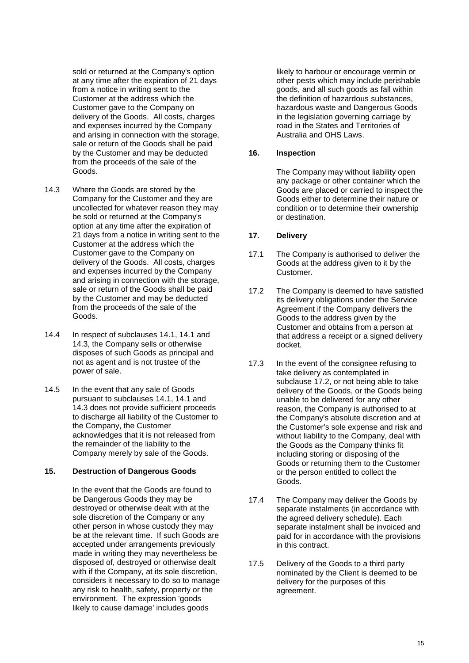sold or returned at the Company's option at any time after the expiration of 21 days from a notice in writing sent to the Customer at the address which the Customer gave to the Company on delivery of the Goods. All costs, charges and expenses incurred by the Company and arising in connection with the storage, sale or return of the Goods shall be paid by the Customer and may be deducted from the proceeds of the sale of the Goods.

- <span id="page-14-0"></span>14.3 Where the Goods are stored by the Company for the Customer and they are uncollected for whatever reason they may be sold or returned at the Company's option at any time after the expiration of 21 days from a notice in writing sent to the Customer at the address which the Customer gave to the Company on delivery of the Goods. All costs, charges and expenses incurred by the Company and arising in connection with the storage, sale or return of the Goods shall be paid by the Customer and may be deducted from the proceeds of the sale of the Goods.
- 14.4 In respect of subclauses [14.1,](#page-13-0) [14.1](#page-13-1) and [14.3,](#page-14-0) the Company sells or otherwise disposes of such Goods as principal and not as agent and is not trustee of the power of sale.
- 14.5 In the event that any sale of Goods pursuant to subclauses [14.1,](#page-13-0) [14.1](#page-13-1) and [14.3](#page-14-0) does not provide sufficient proceeds to discharge all liability of the Customer to the Company, the Customer acknowledges that it is not released from the remainder of the liability to the Company merely by sale of the Goods.

#### **15. Destruction of Dangerous Goods**

In the event that the Goods are found to be Dangerous Goods they may be destroyed or otherwise dealt with at the sole discretion of the Company or any other person in whose custody they may be at the relevant time. If such Goods are accepted under arrangements previously made in writing they may nevertheless be disposed of, destroyed or otherwise dealt with if the Company, at its sole discretion, considers it necessary to do so to manage any risk to health, safety, property or the environment. The expression 'goods likely to cause damage' includes goods

likely to harbour or encourage vermin or other pests which may include perishable goods, and all such goods as fall within the definition of hazardous substances, hazardous waste and Dangerous Goods in the legislation governing carriage by road in the States and Territories of Australia and OHS Laws.

## **16. Inspection**

The Company may without liability open any package or other container which the Goods are placed or carried to inspect the Goods either to determine their nature or condition or to determine their ownership or destination.

#### **17. Delivery**

- 17.1 The Company is authorised to deliver the Goods at the address given to it by the Customer.
- <span id="page-14-1"></span>17.2 The Company is deemed to have satisfied its delivery obligations under the Service Agreement if the Company delivers the Goods to the address given by the Customer and obtains from a person at that address a receipt or a signed delivery docket.
- 17.3 In the event of the consignee refusing to take delivery as contemplated in subclause [17.2,](#page-14-1) or not being able to take delivery of the Goods, or the Goods being unable to be delivered for any other reason, the Company is authorised to at the Company's absolute discretion and at the Customer's sole expense and risk and without liability to the Company, deal with the Goods as the Company thinks fit including storing or disposing of the Goods or returning them to the Customer or the person entitled to collect the Goods.
- 17.4 The Company may deliver the Goods by separate instalments (in accordance with the agreed delivery schedule). Each separate instalment shall be invoiced and paid for in accordance with the provisions in this contract.
- 17.5 Delivery of the Goods to a third party nominated by the Client is deemed to be delivery for the purposes of this agreement.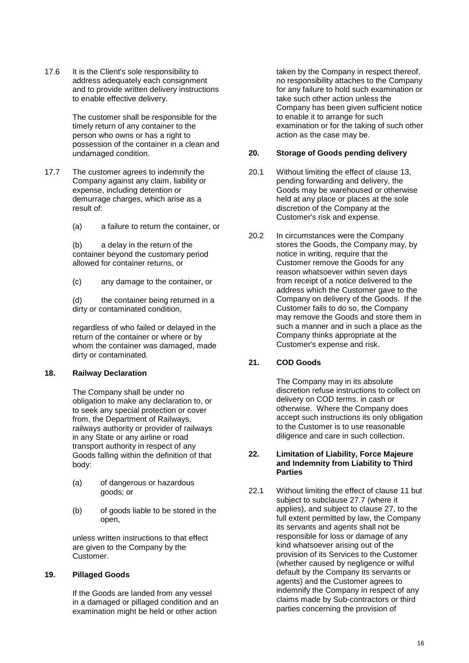17.6 It is the Client's sole responsibility to address adequately each consignment and to provide written delivery instructions to enable effective delivery.

> The customer shall be responsible for the timely return of any container to the person who owns or has a right to possession of the container in a clean and undamaged condition.

- 17.7 The customer agrees to indemnify the Company against any claim, liability or expense, including detention or demurrage charges, which arise as a result of:
	- (a) a failure to return the container, or

(b) a delay in the return of the container beyond the customary period allowed for container returns, or

(c) any damage to the container, or

(d) the container being returned in a dirty or contaminated condition,

regardless of who failed or delayed in the return of the container or where or by whom the container was damaged, made dirty or contaminated.

## **18. Railway Declaration**

The Company shall be under no obligation to make any declaration to, or to seek any special protection or cover from, the Department of Railways, railways authority or provider of railways in any State or any airline or road transport authority in respect of any Goods falling within the definition of that body:

- (a) of dangerous or hazardous goods; or
- (b) of goods liable to be stored in the open,

unless written instructions to that effect are given to the Company by the Customer.

## **19. Pillaged Goods**

If the Goods are landed from any vessel in a damaged or pillaged condition and an examination might be held or other action

taken by the Company in respect thereof, no responsibility attaches to the Company for any failure to hold such examination or take such other action unless the Company has been given sufficient notice to enable it to arrange for such examination or for the taking of such other action as the case may be.

#### **20. Storage of Goods pending delivery**

- 20.1 Without limiting the effect of clause [13,](#page-12-3) pending forwarding and delivery, the Goods may be warehoused or otherwise held at any place or places at the sole discretion of the Company at the Customer's risk and expense.
- 20.2 In circumstances were the Company stores the Goods, the Company may, by notice in writing, require that the Customer remove the Goods for any reason whatsoever within seven days from receipt of a notice delivered to the address which the Customer gave to the Company on delivery of the Goods. If the Customer fails to do so, the Company may remove the Goods and store them in such a manner and in such a place as the Company thinks appropriate at the Customer's expense and risk.

## <span id="page-15-0"></span>**21. COD Goods**

The Company may in its absolute discretion refuse instructions to collect on delivery on COD terms. in cash or otherwise. Where the Company does accept such instructions its only obligation to the Customer is to use reasonable diligence and care in such collection.

#### **22. Limitation of Liability, Force Majeure and Indemnity from Liability to Third Parties**

<span id="page-15-1"></span>22.1 Without limiting the effect of clause [11](#page-10-1) but subject to subclause [27.7](#page-20-0) (where it applies), and subject to clause [27,](#page-19-0) to the full extent permitted by law, the Company its servants and agents shall not be responsible for loss or damage of any kind whatsoever arising out of the provision of its Services to the Customer (whether caused by negligence or wilful default by the Company its servants or agents) and the Customer agrees to indemnify the Company in respect of any claims made by Sub-contractors or third parties concerning the provision of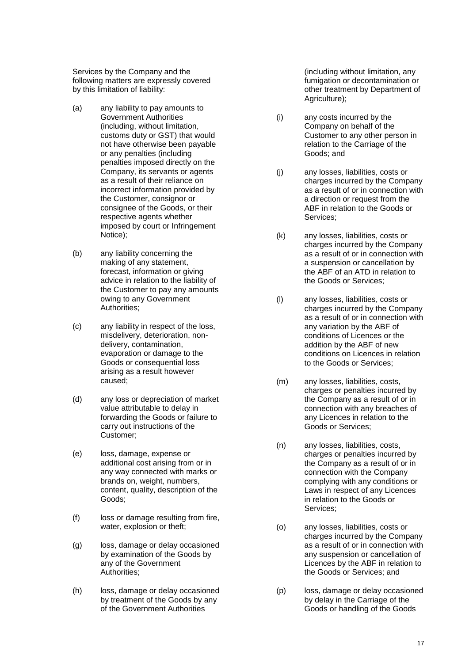Services by the Company and the following matters are expressly covered by this limitation of liability:

- (a) any liability to pay amounts to Government Authorities (including, without limitation, customs duty or GST) that would not have otherwise been payable or any penalties (including penalties imposed directly on the Company, its servants or agents as a result of their reliance on incorrect information provided by the Customer, consignor or consignee of the Goods, or their respective agents whether imposed by court or Infringement Notice);
- (b) any liability concerning the making of any statement, forecast, information or giving advice in relation to the liability of the Customer to pay any amounts owing to any Government Authorities;
- (c) any liability in respect of the loss, misdelivery, deterioration, nondelivery, contamination, evaporation or damage to the Goods or consequential loss arising as a result however caused;
- (d) any loss or depreciation of market value attributable to delay in forwarding the Goods or failure to carry out instructions of the Customer;
- (e) loss, damage, expense or additional cost arising from or in any way connected with marks or brands on, weight, numbers, content, quality, description of the Goods;
- (f) loss or damage resulting from fire, water, explosion or theft;
- (g) loss, damage or delay occasioned by examination of the Goods by any of the Government Authorities;
- (h) loss, damage or delay occasioned by treatment of the Goods by any of the Government Authorities

(including without limitation, any fumigation or decontamination or other treatment by Department of Agriculture);

- (i) any costs incurred by the Company on behalf of the Customer to any other person in relation to the Carriage of the Goods; and
- (j) any losses, liabilities, costs or charges incurred by the Company as a result of or in connection with a direction or request from the ABF in relation to the Goods or Services;
- (k) any losses, liabilities, costs or charges incurred by the Company as a result of or in connection with a suspension or cancellation by the ABF of an ATD in relation to the Goods or Services;
- (l) any losses, liabilities, costs or charges incurred by the Company as a result of or in connection with any variation by the ABF of conditions of Licences or the addition by the ABF of new conditions on Licences in relation to the Goods or Services;
- (m) any losses, liabilities, costs, charges or penalties incurred by the Company as a result of or in connection with any breaches of any Licences in relation to the Goods or Services;
- (n) any losses, liabilities, costs, charges or penalties incurred by the Company as a result of or in connection with the Company complying with any conditions or Laws in respect of any Licences in relation to the Goods or Services;
- (o) any losses, liabilities, costs or charges incurred by the Company as a result of or in connection with any suspension or cancellation of Licences by the ABF in relation to the Goods or Services; and
- (p) loss, damage or delay occasioned by delay in the Carriage of the Goods or handling of the Goods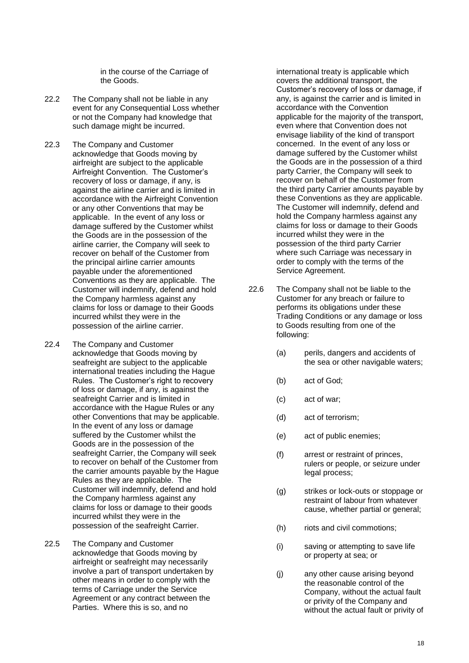in the course of the Carriage of the Goods.

- 22.2 The Company shall not be liable in any event for any Consequential Loss whether or not the Company had knowledge that such damage might be incurred.
- <span id="page-17-0"></span>22.3 The Company and Customer acknowledge that Goods moving by airfreight are subject to the applicable Airfreight Convention. The Customer's recovery of loss or damage, if any, is against the airline carrier and is limited in accordance with the Airfreight Convention or any other Conventions that may be applicable. In the event of any loss or damage suffered by the Customer whilst the Goods are in the possession of the airline carrier, the Company will seek to recover on behalf of the Customer from the principal airline carrier amounts payable under the aforementioned Conventions as they are applicable. The Customer will indemnify, defend and hold the Company harmless against any claims for loss or damage to their Goods incurred whilst they were in the possession of the airline carrier.
- <span id="page-17-1"></span>22.4 The Company and Customer acknowledge that Goods moving by seafreight are subject to the applicable international treaties including the Hague Rules. The Customer's right to recovery of loss or damage, if any, is against the seafreight Carrier and is limited in accordance with the Hague Rules or any other Conventions that may be applicable. In the event of any loss or damage suffered by the Customer whilst the Goods are in the possession of the seafreight Carrier, the Company will seek to recover on behalf of the Customer from the carrier amounts payable by the Hague Rules as they are applicable. The Customer will indemnify, defend and hold the Company harmless against any claims for loss or damage to their goods incurred whilst they were in the possession of the seafreight Carrier.
- <span id="page-17-2"></span>22.5 The Company and Customer acknowledge that Goods moving by airfreight or seafreight may necessarily involve a part of transport undertaken by other means in order to comply with the terms of Carriage under the Service Agreement or any contract between the Parties. Where this is so, and no

international treaty is applicable which covers the additional transport, the Customer's recovery of loss or damage, if any, is against the carrier and is limited in accordance with the Convention applicable for the majority of the transport, even where that Convention does not envisage liability of the kind of transport concerned. In the event of any loss or damage suffered by the Customer whilst the Goods are in the possession of a third party Carrier, the Company will seek to recover on behalf of the Customer from the third party Carrier amounts payable by these Conventions as they are applicable. The Customer will indemnify, defend and hold the Company harmless against any claims for loss or damage to their Goods incurred whilst they were in the possession of the third party Carrier where such Carriage was necessary in order to comply with the terms of the Service Agreement.

- <span id="page-17-3"></span>22.6 The Company shall not be liable to the Customer for any breach or failure to performs its obligations under these Trading Conditions or any damage or loss to Goods resulting from one of the following:
	- (a) perils, dangers and accidents of the sea or other navigable waters;
	- (b) act of God;
	- (c) act of war;
	- (d) act of terrorism;
	- (e) act of public enemies;
	- (f) arrest or restraint of princes, rulers or people, or seizure under legal process;
	- (g) strikes or lock-outs or stoppage or restraint of labour from whatever cause, whether partial or general;
	- (h) riots and civil commotions;
	- (i) saving or attempting to save life or property at sea; or
	- (j) any other cause arising beyond the reasonable control of the Company, without the actual fault or privity of the Company and without the actual fault or privity of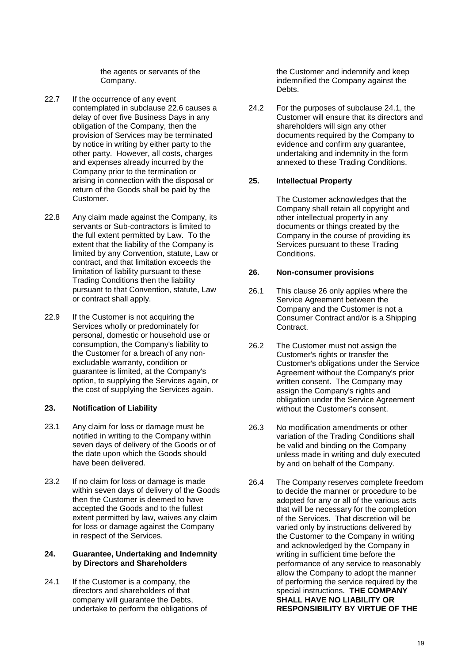the agents or servants of the Company.

- 22.7 If the occurrence of any event contemplated in subclause [22.6](#page-17-3) causes a delay of over five Business Days in any obligation of the Company, then the provision of Services may be terminated by notice in writing by either party to the other party. However, all costs, charges and expenses already incurred by the Company prior to the termination or arising in connection with the disposal or return of the Goods shall be paid by the Customer.
- 22.8 Any claim made against the Company, its servants or Sub-contractors is limited to the full extent permitted by Law. To the extent that the liability of the Company is limited by any Convention, statute, Law or contract, and that limitation exceeds the limitation of liability pursuant to these Trading Conditions then the liability pursuant to that Convention, statute, Law or contract shall apply.
- 22.9 If the Customer is not acquiring the Services wholly or predominately for personal, domestic or household use or consumption, the Company's liability to the Customer for a breach of any nonexcludable warranty, condition or guarantee is limited, at the Company's option, to supplying the Services again, or the cost of supplying the Services again.

## **23. Notification of Liability**

- 23.1 Any claim for loss or damage must be notified in writing to the Company within seven days of delivery of the Goods or of the date upon which the Goods should have been delivered.
- 23.2 If no claim for loss or damage is made within seven days of delivery of the Goods then the Customer is deemed to have accepted the Goods and to the fullest extent permitted by law, waives any claim for loss or damage against the Company in respect of the Services.

#### **24. Guarantee, Undertaking and Indemnity by Directors and Shareholders**

<span id="page-18-1"></span>24.1 If the Customer is a company, the directors and shareholders of that company will guarantee the Debts, undertake to perform the obligations of the Customer and indemnify and keep indemnified the Company against the Debts.

24.2 For the purposes of subclause [24.1,](#page-18-1) the Customer will ensure that its directors and shareholders will sign any other documents required by the Company to evidence and confirm any guarantee, undertaking and indemnity in the form annexed to these Trading Conditions.

#### **25. Intellectual Property**

The Customer acknowledges that the Company shall retain all copyright and other intellectual property in any documents or things created by the Company in the course of providing its Services pursuant to these Trading Conditions.

## <span id="page-18-0"></span>**26. Non-consumer provisions**

- 26.1 This clause [26](#page-18-0) only applies where the Service Agreement between the Company and the Customer is not a Consumer Contract and/or is a Shipping Contract.
- 26.2 The Customer must not assign the Customer's rights or transfer the Customer's obligations under the Service Agreement without the Company's prior written consent. The Company may assign the Company's rights and obligation under the Service Agreement without the Customer's consent.
- 26.3 No modification amendments or other variation of the Trading Conditions shall be valid and binding on the Company unless made in writing and duly executed by and on behalf of the Company.
- 26.4 The Company reserves complete freedom to decide the manner or procedure to be adopted for any or all of the various acts that will be necessary for the completion of the Services. That discretion will be varied only by instructions delivered by the Customer to the Company in writing and acknowledged by the Company in writing in sufficient time before the performance of any service to reasonably allow the Company to adopt the manner of performing the service required by the special instructions. **THE COMPANY SHALL HAVE NO LIABILITY OR RESPONSIBILITY BY VIRTUE OF THE**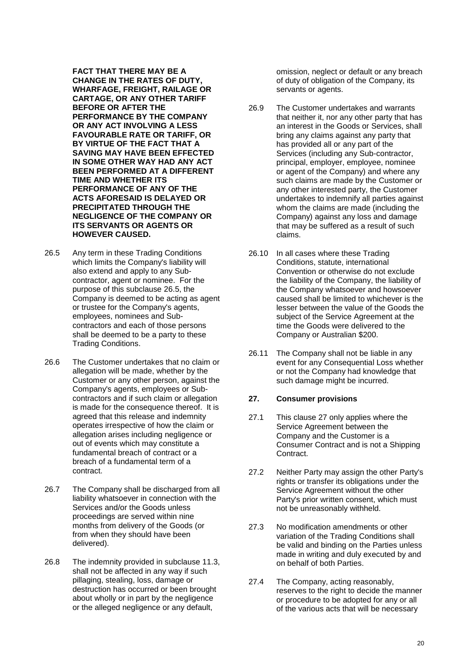**FACT THAT THERE MAY BE A CHANGE IN THE RATES OF DUTY, WHARFAGE, FREIGHT, RAILAGE OR CARTAGE, OR ANY OTHER TARIFF BEFORE OR AFTER THE PERFORMANCE BY THE COMPANY OR ANY ACT INVOLVING A LESS FAVOURABLE RATE OR TARIFF, OR BY VIRTUE OF THE FACT THAT A SAVING MAY HAVE BEEN EFFECTED IN SOME OTHER WAY HAD ANY ACT BEEN PERFORMED AT A DIFFERENT TIME AND WHETHER ITS PERFORMANCE OF ANY OF THE ACTS AFORESAID IS DELAYED OR PRECIPITATED THROUGH THE NEGLIGENCE OF THE COMPANY OR ITS SERVANTS OR AGENTS OR HOWEVER CAUSED.**

- <span id="page-19-1"></span>26.5 Any term in these Trading Conditions which limits the Company's liability will also extend and apply to any Subcontractor, agent or nominee. For the purpose of this subclause [26.5,](#page-19-1) the Company is deemed to be acting as agent or trustee for the Company's agents, employees, nominees and Subcontractors and each of those persons shall be deemed to be a party to these Trading Conditions.
- 26.6 The Customer undertakes that no claim or allegation will be made, whether by the Customer or any other person, against the Company's agents, employees or Subcontractors and if such claim or allegation is made for the consequence thereof. It is agreed that this release and indemnity operates irrespective of how the claim or allegation arises including negligence or out of events which may constitute a fundamental breach of contract or a breach of a fundamental term of a contract.
- 26.7 The Company shall be discharged from all liability whatsoever in connection with the Services and/or the Goods unless proceedings are served within nine months from delivery of the Goods (or from when they should have been delivered).
- 26.8 The indemnity provided in subclause [11.3,](#page-12-4) shall not be affected in any way if such pillaging, stealing, loss, damage or destruction has occurred or been brought about wholly or in part by the negligence or the alleged negligence or any default,

omission, neglect or default or any breach of duty of obligation of the Company, its servants or agents.

- 26.9 The Customer undertakes and warrants that neither it, nor any other party that has an interest in the Goods or Services, shall bring any claims against any party that has provided all or any part of the Services (including any Sub-contractor, principal, employer, employee, nominee or agent of the Company) and where any such claims are made by the Customer or any other interested party, the Customer undertakes to indemnify all parties against whom the claims are made (including the Company) against any loss and damage that may be suffered as a result of such claims.
- 26.10 In all cases where these Trading Conditions, statute, international Convention or otherwise do not exclude the liability of the Company, the liability of the Company whatsoever and howsoever caused shall be limited to whichever is the lesser between the value of the Goods the subject of the Service Agreement at the time the Goods were delivered to the Company or Australian \$200.
- 26.11 The Company shall not be liable in any event for any Consequential Loss whether or not the Company had knowledge that such damage might be incurred.

## <span id="page-19-0"></span>**27. Consumer provisions**

- 27.1 This clause [27](#page-19-0) only applies where the Service Agreement between the Company and the Customer is a Consumer Contract and is not a Shipping Contract.
- 27.2 Neither Party may assign the other Party's rights or transfer its obligations under the Service Agreement without the other Party's prior written consent, which must not be unreasonably withheld.
- 27.3 No modification amendments or other variation of the Trading Conditions shall be valid and binding on the Parties unless made in writing and duly executed by and on behalf of both Parties.
- 27.4 The Company, acting reasonably, reserves to the right to decide the manner or procedure to be adopted for any or all of the various acts that will be necessary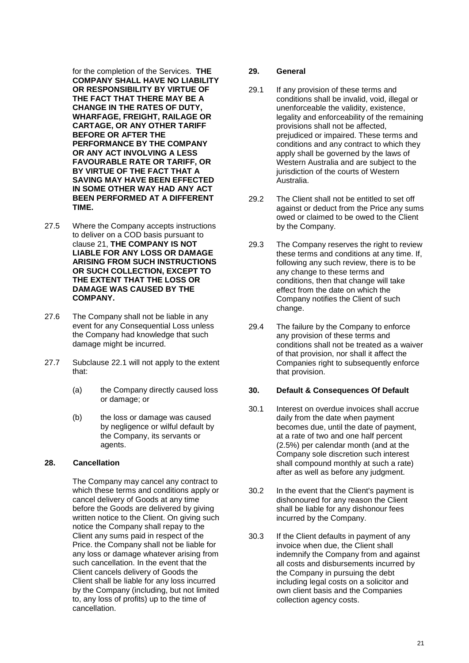for the completion of the Services. **THE COMPANY SHALL HAVE NO LIABILITY OR RESPONSIBILITY BY VIRTUE OF THE FACT THAT THERE MAY BE A CHANGE IN THE RATES OF DUTY, WHARFAGE, FREIGHT, RAILAGE OR CARTAGE, OR ANY OTHER TARIFF BEFORE OR AFTER THE PERFORMANCE BY THE COMPANY OR ANY ACT INVOLVING A LESS FAVOURABLE RATE OR TARIFF, OR BY VIRTUE OF THE FACT THAT A SAVING MAY HAVE BEEN EFFECTED IN SOME OTHER WAY HAD ANY ACT BEEN PERFORMED AT A DIFFERENT TIME.**

- 27.5 Where the Company accepts instructions to deliver on a COD basis pursuant to clause [21,](#page-15-0) **THE COMPANY IS NOT LIABLE FOR ANY LOSS OR DAMAGE ARISING FROM SUCH INSTRUCTIONS OR SUCH COLLECTION, EXCEPT TO THE EXTENT THAT THE LOSS OR DAMAGE WAS CAUSED BY THE COMPANY.**
- 27.6 The Company shall not be liable in any event for any Consequential Loss unless the Company had knowledge that such damage might be incurred.
- <span id="page-20-0"></span>27.7 Subclause [22.1](#page-15-1) will not apply to the extent that:
	- (a) the Company directly caused loss or damage; or
	- (b) the loss or damage was caused by negligence or wilful default by the Company, its servants or agents.

# **28. Cancellation**

The Company may cancel any contract to which these terms and conditions apply or cancel delivery of Goods at any time before the Goods are delivered by giving written notice to the Client. On giving such notice the Company shall repay to the Client any sums paid in respect of the Price. the Company shall not be liable for any loss or damage whatever arising from such cancellation. In the event that the Client cancels delivery of Goods the Client shall be liable for any loss incurred by the Company (including, but not limited to, any loss of profits) up to the time of cancellation.

#### **29. General**

- 29.1 If any provision of these terms and conditions shall be invalid, void, illegal or unenforceable the validity, existence, legality and enforceability of the remaining provisions shall not be affected, prejudiced or impaired. These terms and conditions and any contract to which they apply shall be governed by the laws of Western Australia and are subject to the jurisdiction of the courts of Western Australia.
- 29.2 The Client shall not be entitled to set off against or deduct from the Price any sums owed or claimed to be owed to the Client by the Company.
- 29.3 The Company reserves the right to review these terms and conditions at any time. If, following any such review, there is to be any change to these terms and conditions, then that change will take effect from the date on which the Company notifies the Client of such change.
- 29.4 The failure by the Company to enforce any provision of these terms and conditions shall not be treated as a waiver of that provision, nor shall it affect the Companies right to subsequently enforce that provision.

#### **30. Default & Consequences Of Default**

- 30.1 Interest on overdue invoices shall accrue daily from the date when payment becomes due, until the date of payment, at a rate of two and one half percent (2.5%) per calendar month (and at the Company sole discretion such interest shall compound monthly at such a rate) after as well as before any judgment.
- 30.2 In the event that the Client's payment is dishonoured for any reason the Client shall be liable for any dishonour fees incurred by the Company.
- 30.3 If the Client defaults in payment of any invoice when due, the Client shall indemnify the Company from and against all costs and disbursements incurred by the Company in pursuing the debt including legal costs on a solicitor and own client basis and the Companies collection agency costs.